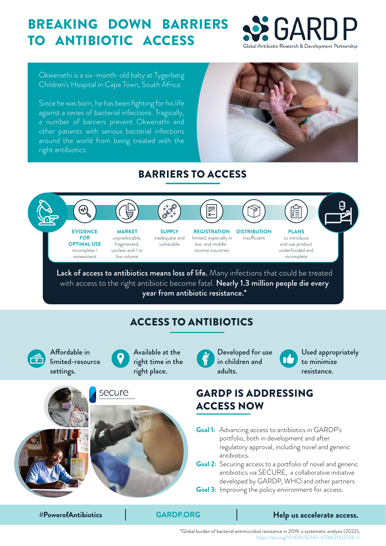## BREAKING DOWN BARRIERS TO ANTIBIOTIC ACCESS



Okwenathi is a six-month-old baby at Tygerberg Children's Hospital in Cape Town, South Africa.

Since he was born, he has been fighting for his life against a series of bacterial infections. Tragically, a number of barriers prevent Okwenathi and other patients with serious bacterial infections around the world from being treated with the right antibiotics.



## BARRIERS TO ACCESS



\*Global burden of bacterial antimicrobial resistance in 2019: a systematic analysis (2022), [https://doi.org/10.1016/S0140-6736\(21\)02724-0](https://doi.org/10.1016/S0140-6736(21)02724-0)